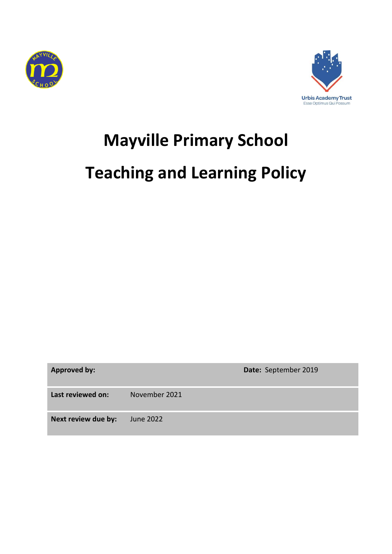



# **Mayville Primary School Teaching and Learning Policy**

| <b>Approved by:</b> |               | Date: September 2019 |
|---------------------|---------------|----------------------|
| Last reviewed on:   | November 2021 |                      |
| Next review due by: | June 2022     |                      |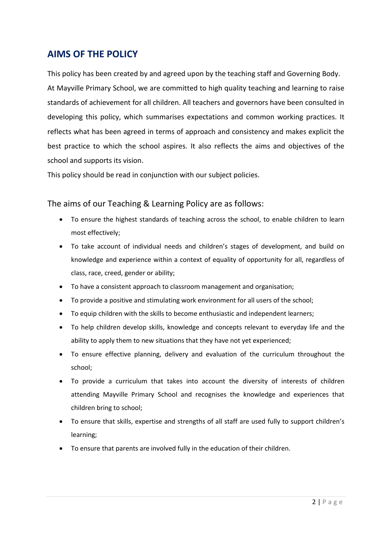# **AIMS OF THE POLICY**

This policy has been created by and agreed upon by the teaching staff and Governing Body. At Mayville Primary School, we are committed to high quality teaching and learning to raise standards of achievement for all children. All teachers and governors have been consulted in developing this policy, which summarises expectations and common working practices. It reflects what has been agreed in terms of approach and consistency and makes explicit the best practice to which the school aspires. It also reflects the aims and objectives of the school and supports its vision.

This policy should be read in conjunction with our subject policies.

The aims of our Teaching & Learning Policy are as follows:

- To ensure the highest standards of teaching across the school, to enable children to learn most effectively;
- To take account of individual needs and children's stages of development, and build on knowledge and experience within a context of equality of opportunity for all, regardless of class, race, creed, gender or ability;
- To have a consistent approach to classroom management and organisation;
- To provide a positive and stimulating work environment for all users of the school;
- To equip children with the skills to become enthusiastic and independent learners;
- To help children develop skills, knowledge and concepts relevant to everyday life and the ability to apply them to new situations that they have not yet experienced;
- To ensure effective planning, delivery and evaluation of the curriculum throughout the school;
- To provide a curriculum that takes into account the diversity of interests of children attending Mayville Primary School and recognises the knowledge and experiences that children bring to school;
- To ensure that skills, expertise and strengths of all staff are used fully to support children's learning;
- To ensure that parents are involved fully in the education of their children.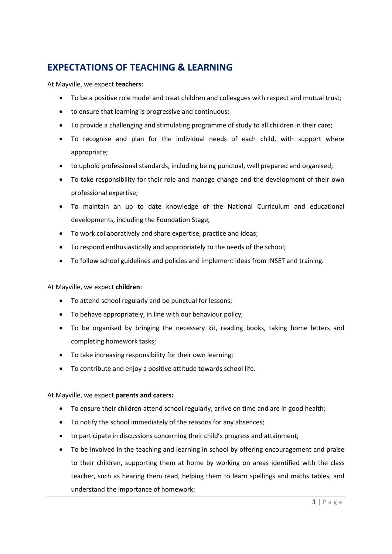# **EXPECTATIONS OF TEACHING & LEARNING**

At Mayville, we expect **teachers**:

- To be a positive role model and treat children and colleagues with respect and mutual trust;
- to ensure that learning is progressive and continuous;
- To provide a challenging and stimulating programme of study to all children in their care;
- To recognise and plan for the individual needs of each child, with support where appropriate;
- to uphold professional standards, including being punctual, well prepared and organised;
- To take responsibility for their role and manage change and the development of their own professional expertise;
- To maintain an up to date knowledge of the National Curriculum and educational developments, including the Foundation Stage;
- To work collaboratively and share expertise, practice and ideas;
- To respond enthusiastically and appropriately to the needs of the school;
- To follow school guidelines and policies and implement ideas from INSET and training.

At Mayville, we expect **children**:

- To attend school regularly and be punctual for lessons;
- To behave appropriately, in line with our behaviour policy;
- To be organised by bringing the necessary kit, reading books, taking home letters and completing homework tasks;
- To take increasing responsibility for their own learning;
- To contribute and enjoy a positive attitude towards school life.

#### At Mayville, we expect **parents and carers:**

- To ensure their children attend school regularly, arrive on time and are in good health;
- To notify the school immediately of the reasons for any absences;
- to participate in discussions concerning their child's progress and attainment;
- To be involved in the teaching and learning in school by offering encouragement and praise to their children, supporting them at home by working on areas identified with the class teacher, such as hearing them read, helping them to learn spellings and maths tables, and understand the importance of homework;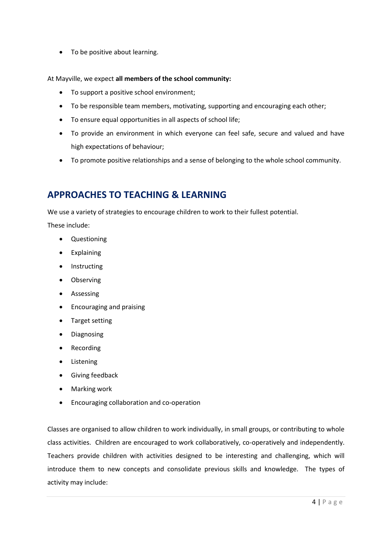• To be positive about learning.

#### At Mayville, we expect **all members of the school community:**

- To support a positive school environment;
- To be responsible team members, motivating, supporting and encouraging each other;
- To ensure equal opportunities in all aspects of school life;
- To provide an environment in which everyone can feel safe, secure and valued and have high expectations of behaviour;
- To promote positive relationships and a sense of belonging to the whole school community.

# **APPROACHES TO TEACHING & LEARNING**

We use a variety of strategies to encourage children to work to their fullest potential.

These include:

- Questioning
- Explaining
- Instructing
- Observing
- **•** Assessing
- Encouraging and praising
- Target setting
- Diagnosing
- Recording
- Listening
- Giving feedback
- Marking work
- Encouraging collaboration and co-operation

Classes are organised to allow children to work individually, in small groups, or contributing to whole class activities. Children are encouraged to work collaboratively, co-operatively and independently. Teachers provide children with activities designed to be interesting and challenging, which will introduce them to new concepts and consolidate previous skills and knowledge. The types of activity may include: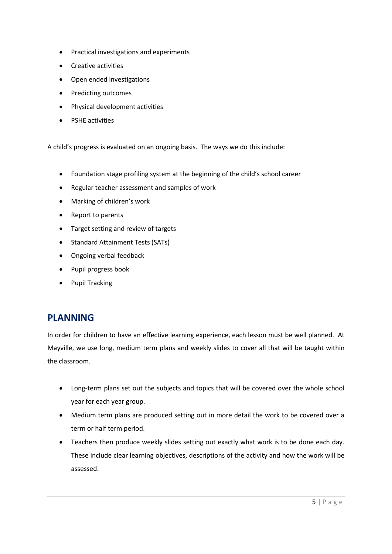- Practical investigations and experiments
- Creative activities
- Open ended investigations
- Predicting outcomes
- Physical development activities
- PSHE activities

A child's progress is evaluated on an ongoing basis. The ways we do this include:

- Foundation stage profiling system at the beginning of the child's school career
- Regular teacher assessment and samples of work
- Marking of children's work
- Report to parents
- Target setting and review of targets
- Standard Attainment Tests (SATs)
- Ongoing verbal feedback
- Pupil progress book
- Pupil Tracking

# **PLANNING**

In order for children to have an effective learning experience, each lesson must be well planned. At Mayville, we use long, medium term plans and weekly slides to cover all that will be taught within the classroom.

- Long-term plans set out the subjects and topics that will be covered over the whole school year for each year group.
- Medium term plans are produced setting out in more detail the work to be covered over a term or half term period.
- Teachers then produce weekly slides setting out exactly what work is to be done each day. These include clear learning objectives, descriptions of the activity and how the work will be assessed.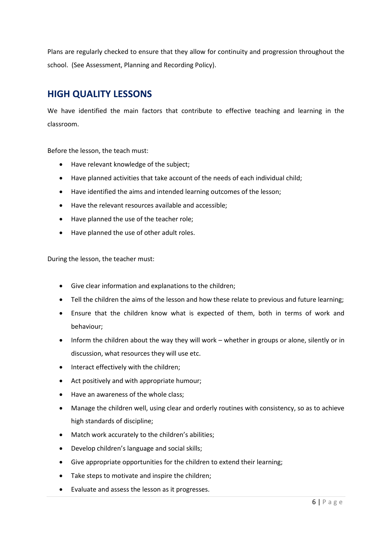Plans are regularly checked to ensure that they allow for continuity and progression throughout the school. (See Assessment, Planning and Recording Policy).

# **HIGH QUALITY LESSONS**

We have identified the main factors that contribute to effective teaching and learning in the classroom.

Before the lesson, the teach must:

- Have relevant knowledge of the subject;
- Have planned activities that take account of the needs of each individual child;
- Have identified the aims and intended learning outcomes of the lesson;
- Have the relevant resources available and accessible;
- Have planned the use of the teacher role;
- Have planned the use of other adult roles.

During the lesson, the teacher must:

- Give clear information and explanations to the children;
- Tell the children the aims of the lesson and how these relate to previous and future learning;
- Ensure that the children know what is expected of them, both in terms of work and behaviour;
- Inform the children about the way they will work whether in groups or alone, silently or in discussion, what resources they will use etc.
- Interact effectively with the children;
- Act positively and with appropriate humour;
- Have an awareness of the whole class;
- Manage the children well, using clear and orderly routines with consistency, so as to achieve high standards of discipline;
- Match work accurately to the children's abilities;
- Develop children's language and social skills;
- Give appropriate opportunities for the children to extend their learning;
- Take steps to motivate and inspire the children;
- Evaluate and assess the lesson as it progresses.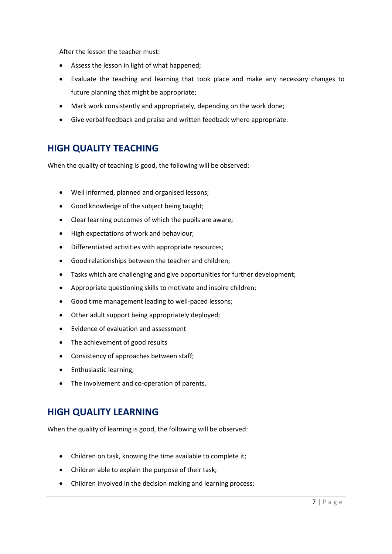After the lesson the teacher must:

- Assess the lesson in light of what happened;
- Evaluate the teaching and learning that took place and make any necessary changes to future planning that might be appropriate;
- Mark work consistently and appropriately, depending on the work done;
- Give verbal feedback and praise and written feedback where appropriate.

# **HIGH QUALITY TEACHING**

When the quality of teaching is good, the following will be observed:

- Well informed, planned and organised lessons;
- Good knowledge of the subject being taught;
- Clear learning outcomes of which the pupils are aware;
- $\bullet$  High expectations of work and behaviour;
- Differentiated activities with appropriate resources;
- Good relationships between the teacher and children;
- Tasks which are challenging and give opportunities for further development;
- Appropriate questioning skills to motivate and inspire children;
- Good time management leading to well-paced lessons;
- Other adult support being appropriately deployed;
- Evidence of evaluation and assessment
- The achievement of good results
- Consistency of approaches between staff;
- Enthusiastic learning;
- The involvement and co-operation of parents.

# **HIGH QUALITY LEARNING**

When the quality of learning is good, the following will be observed:

- Children on task, knowing the time available to complete it;
- Children able to explain the purpose of their task;
- Children involved in the decision making and learning process;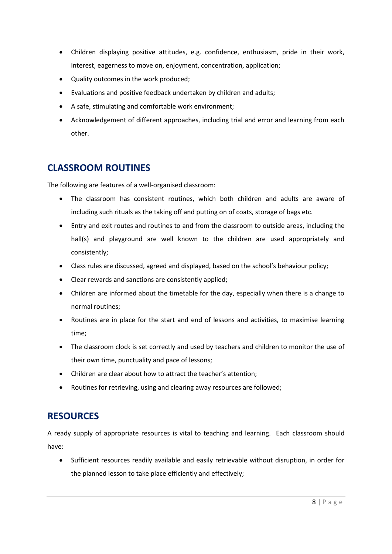- Children displaying positive attitudes, e.g. confidence, enthusiasm, pride in their work, interest, eagerness to move on, enjoyment, concentration, application;
- Quality outcomes in the work produced;
- Evaluations and positive feedback undertaken by children and adults;
- A safe, stimulating and comfortable work environment;
- Acknowledgement of different approaches, including trial and error and learning from each other.

# **CLASSROOM ROUTINES**

The following are features of a well-organised classroom:

- The classroom has consistent routines, which both children and adults are aware of including such rituals as the taking off and putting on of coats, storage of bags etc.
- Entry and exit routes and routines to and from the classroom to outside areas, including the hall(s) and playground are well known to the children are used appropriately and consistently;
- Class rules are discussed, agreed and displayed, based on the school's behaviour policy;
- Clear rewards and sanctions are consistently applied;
- Children are informed about the timetable for the day, especially when there is a change to normal routines;
- Routines are in place for the start and end of lessons and activities, to maximise learning time;
- The classroom clock is set correctly and used by teachers and children to monitor the use of their own time, punctuality and pace of lessons;
- Children are clear about how to attract the teacher's attention;
- Routines for retrieving, using and clearing away resources are followed;

# **RESOURCES**

A ready supply of appropriate resources is vital to teaching and learning. Each classroom should have:

 Sufficient resources readily available and easily retrievable without disruption, in order for the planned lesson to take place efficiently and effectively;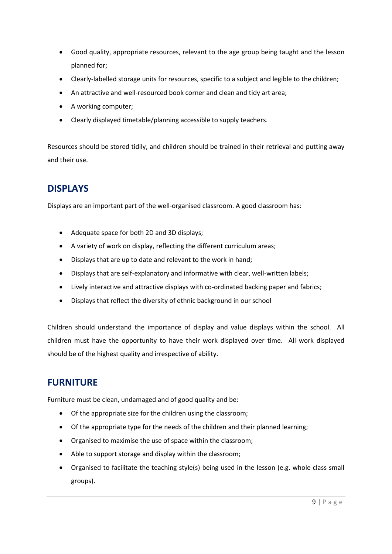- Good quality, appropriate resources, relevant to the age group being taught and the lesson planned for;
- Clearly-labelled storage units for resources, specific to a subject and legible to the children;
- An attractive and well-resourced book corner and clean and tidy art area;
- A working computer;
- Clearly displayed timetable/planning accessible to supply teachers.

Resources should be stored tidily, and children should be trained in their retrieval and putting away and their use.

# **DISPLAYS**

Displays are an important part of the well-organised classroom. A good classroom has:

- Adequate space for both 2D and 3D displays;
- A variety of work on display, reflecting the different curriculum areas;
- Displays that are up to date and relevant to the work in hand;
- Displays that are self-explanatory and informative with clear, well-written labels;
- Lively interactive and attractive displays with co-ordinated backing paper and fabrics;
- Displays that reflect the diversity of ethnic background in our school

Children should understand the importance of display and value displays within the school. All children must have the opportunity to have their work displayed over time. All work displayed should be of the highest quality and irrespective of ability.

# **FURNITURE**

Furniture must be clean, undamaged and of good quality and be:

- Of the appropriate size for the children using the classroom;
- Of the appropriate type for the needs of the children and their planned learning;
- Organised to maximise the use of space within the classroom;
- Able to support storage and display within the classroom;
- Organised to facilitate the teaching style(s) being used in the lesson (e.g. whole class small groups).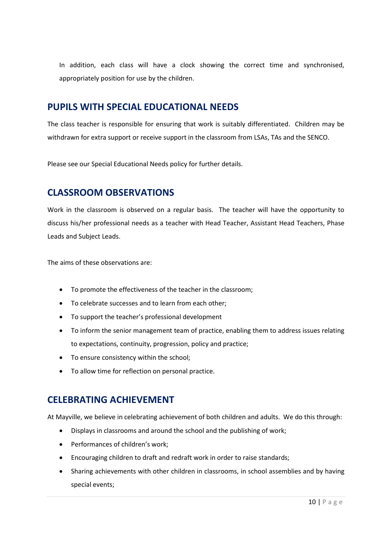In addition, each class will have a clock showing the correct time and synchronised, appropriately position for use by the children.

#### **PUPILS WITH SPECIAL EDUCATIONAL NEEDS**

The class teacher is responsible for ensuring that work is suitably differentiated. Children may be withdrawn for extra support or receive support in the classroom from LSAs, TAs and the SENCO.

Please see our Special Educational Needs policy for further details.

# **CLASSROOM OBSERVATIONS**

Work in the classroom is observed on a regular basis. The teacher will have the opportunity to discuss his/her professional needs as a teacher with Head Teacher, Assistant Head Teachers, Phase Leads and Subject Leads.

The aims of these observations are:

- To promote the effectiveness of the teacher in the classroom;
- To celebrate successes and to learn from each other;
- To support the teacher's professional development
- To inform the senior management team of practice, enabling them to address issues relating to expectations, continuity, progression, policy and practice;
- To ensure consistency within the school;
- To allow time for reflection on personal practice.

#### **CELEBRATING ACHIEVEMENT**

At Mayville, we believe in celebrating achievement of both children and adults. We do this through:

- Displays in classrooms and around the school and the publishing of work;
- Performances of children's work;
- Encouraging children to draft and redraft work in order to raise standards;
- Sharing achievements with other children in classrooms, in school assemblies and by having special events;